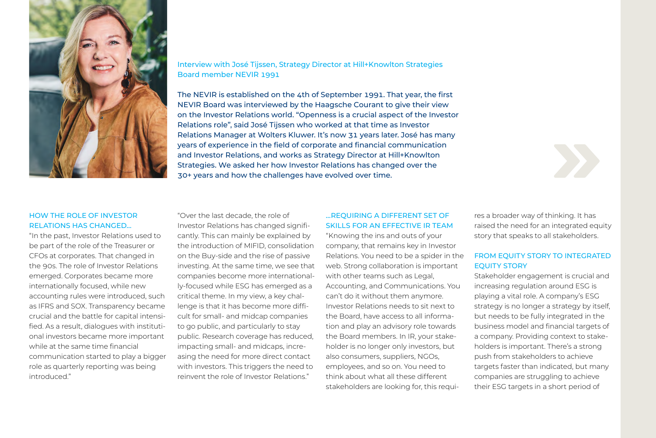

## Interview with José Tijssen, Strategy Director at Hill+Knowlton Strategies Board member NEVIR 1991

The NEVIR is established on the 4th of September 1991. That year, the first NEVIR Board was interviewed by the Haagsche Courant to give their view on the Investor Relations world. "Openness is a crucial aspect of the Investor Relations role", said José Tijssen who worked at that time as Investor Relations Manager at Wolters Kluwer. It's now 31 years later. José has many years of experience in the field of corporate and financial communication and Investor Relations, and works as Strategy Director at Hill+Knowlton Strategies. We asked her how Investor Relations has changed over the 30+ years and how the challenges have evolved over time.

## HOW THE ROLE OF INVESTOR RELATIONS HAS CHANGED…

"In the past, Investor Relations used to be part of the role of the Treasurer or CFOs at corporates. That changed in the 90s. The role of Investor Relations emerged. Corporates became more internationally focused, while new accounting rules were introduced, such as IFRS and SOX. Transparency became crucial and the battle for capital intensified. As a result, dialogues with institutional investors became more important while at the same time financial communication started to play a bigger role as quarterly reporting was being introduced."

"Over the last decade, the role of Investor Relations has changed significantly. This can mainly be explained by the introduction of MIFID, consolidation on the Buy-side and the rise of passive investing. At the same time, we see that companies become more internationally-focused while ESG has emerged as a critical theme. In my view, a key challenge is that it has become more difficult for small- and midcap companies to go public, and particularly to stay public. Research coverage has reduced, impacting small- and midcaps, increasing the need for more direct contact with investors. This triggers the need to reinvent the role of Investor Relations."

## …REQUIRING A DIFFERENT SET OF SKILLS FOR AN EFFECTIVE IR TEAM

"Knowing the ins and outs of your company, that remains key in Investor Relations. You need to be a spider in the web. Strong collaboration is important with other teams such as Legal, Accounting, and Communications. You can't do it without them anymore. Investor Relations needs to sit next to the Board, have access to all information and play an advisory role towards the Board members. In IR, your stakeholder is no longer only investors, but also consumers, suppliers, NGOs, employees, and so on. You need to think about what all these different stakeholders are looking for, this requires a broader way of thinking. It has raised the need for an integrated equity story that speaks to all stakeholders.

## FROM EQUITY STORY TO INTEGRATED EQUITY STORY

Stakeholder engagement is crucial and increasing regulation around ESG is playing a vital role. A company's ESG strategy is no longer a strategy by itself, but needs to be fully integrated in the business model and financial targets of a company. Providing context to stakeholders is important. There's a strong push from stakeholders to achieve targets faster than indicated, but many companies are struggling to achieve their ESG targets in a short period of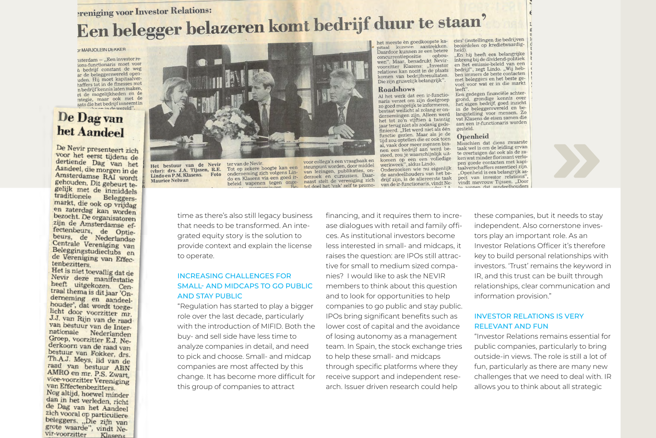# **Preniging voor Investor Relations:** Een belegger belazeren komt bedrijf duur te staan'

#### Y MARJOLEIN DEKKER

isterdam - "Een investor reions-functionaris moet voor h bedrijf constant de weg ar de beleggerswereld openar de beleggerswerend open<br>uden. Hij moet kapitaalvernaffers tot in de finesses met n bedrijf kennis laten maken, et de mogelijkheden en de et de mogenjamente en de<br>tategie, maar ook met de<br>aats die het bedrijf inneemt in n in de wereld".

## De Dag van het Aandeel

De Nevir presenteert zich voor het eerst tijdens de<br>dertiende Dag van het Aandeel, die morgen in de Amsterdamse RAI wordt gehouden. Dit gebeurt tegelijk met de inmiddels seujk met de inmiddels<br>traditionele Beleggers-<br>markt, die ook op vrijdag<br>en zaterdag kan worden<br>bezoont. De organisatoren zijn de Amsterdamse effectenbeurs, de Optie-<br>beurs, de Nederlandse Centrale Vereniging van<br>Beleggingstudieclubs en de Vereniging van Effectenbezitters.

Het is niet toevallig dat de Nevir deze manifestatie heeft uitgekozen. Centraal thema is dit jaar 'Onu dal thema is dit jaar 'On-<br>derneming en aandeel-<br>houder', dat wordt toege-<br>licht door licht door voorzitter mr. J.J. van Rijn van de raad van bestuur van de Internationale Nederlanden Groep, voorzitter E.J. Nederkoorn van de raad van bestuur van Fokker, drs. Th.A.J. Meys, lid van de raad van bestuur ABN AMRO en mr. P.S. Zwart. vice-voorzitter Vereniging van Effectenbezitters. Nog altijd, hoewel minder<br>dan in het verleden, richt

de Dag van het Aandeel ale Dag van het Aandeel<br>zich vooral op particuliere<br>beleggers. "Die zijn van grote waarde", vindt Nevir-voorzitter Klasens



Het bestuur van de Nevir (vlnr): drs. J.A. Tijssen, R.E. Lindo en P.M. Klasens. Foto **Maurice Nelwan** 

ter van de Nevir. Tot op zekere hoogte kan een onderneming zich volgens Lindo en Klasens via een goed irbeleid wapenen tegen onge-

voor collega's een vraagbaak en steunpunt worden, door middel van lezingen, publikaties, onderzoek en cursussen. Daarnaast stelt de vereniging zich tot doel het 'vak' zelf te promo-

het meeste èn goedkoopste kapitaal kunnen aantrekken. Daardoor kunnen ze een betere concurrentiepositie opbouwen". Maar, benadrukt Nevirvoorzitter Klasens: "Investor relations kan nooit in de plaats komen van bedrijfsresultaten. Die zijn gruwelijk belangrijk".

#### **Roadshows**

Al het werk dat een ir-functionaris verzet om zijn doelgroep zo goed mogelijk te informeren,<br>bestaat wellicht al zolang er ondernemingen zijn. Alleen werd het tot zo'n vijftien à twintig jaar terug niet als zodanig gedefinieerd. "Het werd niet als één functie gezien. Maar als je de tijd zou optellen die er ook toen al, yaak door meer mensen binnen een bedrijf aan werd besteed, zou je waarschijnlijk uitkomen op een een volledige Onderzoeken wie nu eigenlijk de aandeelhouders van het be-

drijf zijn, is de allereerste taak van de ir-functionaris, vindt Ne-

cies' (instellingen die bedrijven beoordelen op kredietwaardigheid)

"En hij heeft een belangrijke<br>inbreng bij de dividend-politiek en het emissie-beleid van een en het emissie-beiend van een<br>bedrijf", zegt Lindo. "Wij hebbeurifi, zege Linke, graficen met beleggers en het beste gevoel voor wat er in die markt leeft".

Een gedegen financiële achter-Een gedegen manciele achter-<br>grond, grondige kennis over het eigen bedrijf, goed inzicht in de beleggerswereld en belangstelling voor mensen. Zo vat Klasens de eisen samen die vat Klasens de elsen samen de gesteld.

#### **Openheid**

Misschien dat diens zwaarste taak wel is om de leiding ervan te overtuigen dat ook als de zaken wat minder florissant verlopen goede contacten met kapitaalverschaffers essentieel zijn. "Openheid is een belangrijk aspect van investor relations", vindt mevrouw Tijssen. "Door to zorgen dat aandeelhouders



time as there's also still legacy business that needs to be transformed. An integrated equity story is the solution to provide context and explain the license to operate.

## INCREASING CHALLENGES FOR SMALL- AND MIDCAPS TO GO PUBLIC AND STAY PUBLIC

"Regulation has started to play a bigger role over the last decade, particularly with the introduction of MIFID. Both the buy- and sell side have less time to analyze companies in detail, and need to pick and choose. Small- and midcap companies are most affected by this change. It has become more difficult for this group of companies to attract

financing, and it requires them to increase dialogues with retail and family offices. As institutional investors become less interested in small- and midcaps, it raises the question: are IPOs still attractive for small to medium sized companies? I would like to ask the NEVIR members to think about this question and to look for opportunities to help companies to go public and stay public. IPOs bring significant benefits such as lower cost of capital and the avoidance of losing autonomy as a management team. In Spain, the stock exchange tries to help these small- and midcaps through specific platforms where they receive support and independent research. Issuer driven research could help

these companies, but it needs to stay independent. Also cornerstone investors play an important role. As an Investor Relations Officer it's therefore key to build personal relationships with investors. 'Trust' remains the keyword in IR, and this trust can be built through relationships, clear communication and information provision."

## INVESTOR RELATIONS IS VERY RELEVANT AND FUN

"Investor Relations remains essential for public companies, particularly to bring outside-in views. The role is still a lot of fun, particularly as there are many new challenges that we need to deal with. IR allows you to think about all strategic